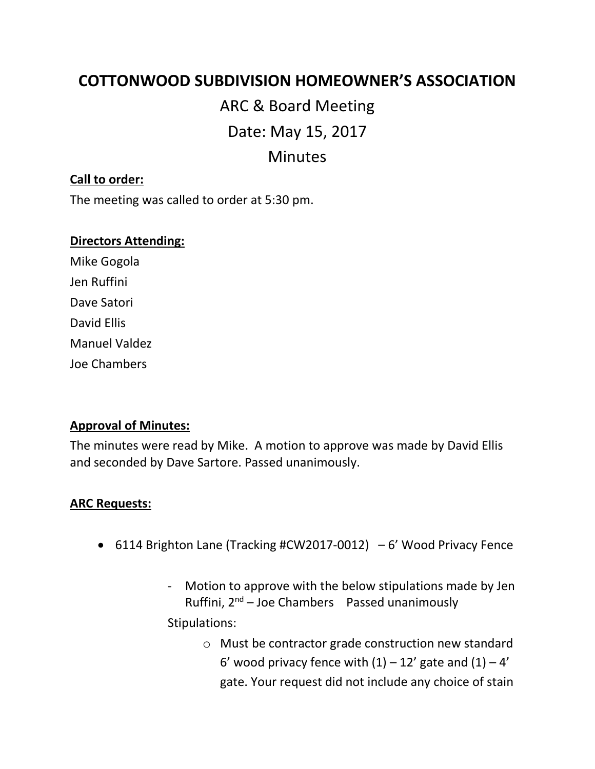# **COTTONWOOD SUBDIVISION HOMEOWNER'S ASSOCIATION**

# ARC & Board Meeting Date: May 15, 2017 Minutes

### **Call to order:**

The meeting was called to order at 5:30 pm.

#### **Directors Attending:**

Mike Gogola Jen Ruffini Dave Satori David Ellis Manuel Valdez Joe Chambers

#### **Approval of Minutes:**

The minutes were read by Mike. A motion to approve was made by David Ellis and seconded by Dave Sartore. Passed unanimously.

#### **ARC Requests:**

- 6114 Brighton Lane (Tracking #CW2017-0012) 6' Wood Privacy Fence
	- Motion to approve with the below stipulations made by Jen Ruffini,  $2^{nd}$  – Joe Chambers Passed unanimously

Stipulations:

o Must be contractor grade construction new standard 6' wood privacy fence with  $(1) - 12'$  gate and  $(1) - 4'$ gate. Your request did not include any choice of stain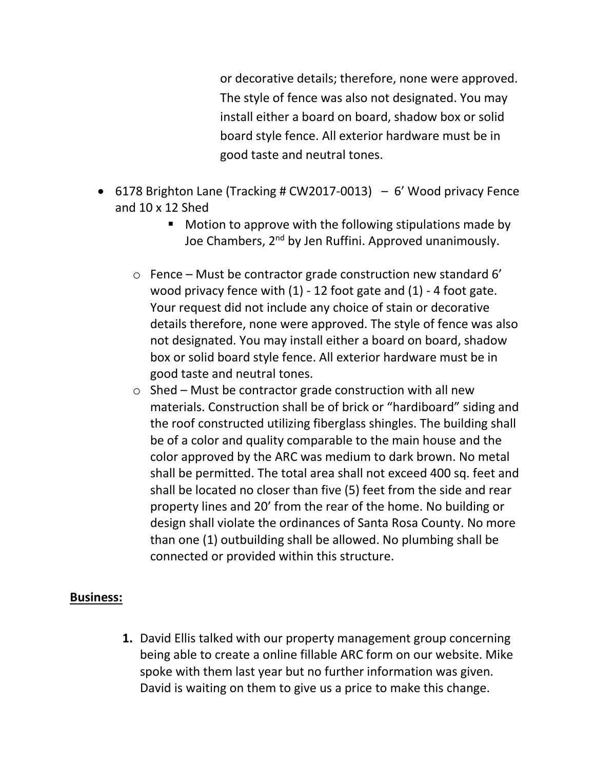or decorative details; therefore, none were approved. The style of fence was also not designated. You may install either a board on board, shadow box or solid board style fence. All exterior hardware must be in good taste and neutral tones.

- 6178 Brighton Lane (Tracking # CW2017-0013) 6' Wood privacy Fence and 10 x 12 Shed
	- Motion to approve with the following stipulations made by Joe Chambers, 2nd by Jen Ruffini. Approved unanimously.
	- $\circ$  Fence Must be contractor grade construction new standard 6' wood privacy fence with (1) - 12 foot gate and (1) - 4 foot gate. Your request did not include any choice of stain or decorative details therefore, none were approved. The style of fence was also not designated. You may install either a board on board, shadow box or solid board style fence. All exterior hardware must be in good taste and neutral tones.
	- $\circ$  Shed Must be contractor grade construction with all new materials. Construction shall be of brick or "hardiboard" siding and the roof constructed utilizing fiberglass shingles. The building shall be of a color and quality comparable to the main house and the color approved by the ARC was medium to dark brown. No metal shall be permitted. The total area shall not exceed 400 sq. feet and shall be located no closer than five (5) feet from the side and rear property lines and 20' from the rear of the home. No building or design shall violate the ordinances of Santa Rosa County. No more than one (1) outbuilding shall be allowed. No plumbing shall be connected or provided within this structure.

#### **Business:**

**1.** David Ellis talked with our property management group concerning being able to create a online fillable ARC form on our website. Mike spoke with them last year but no further information was given. David is waiting on them to give us a price to make this change.